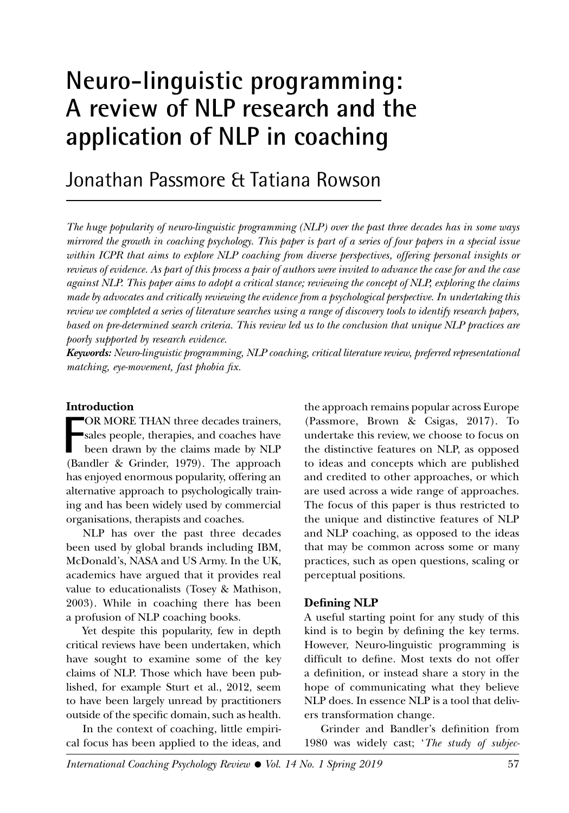# **Neuro-linguistic programming: A review of NLP research and the application of NLP in coaching**

# Jonathan Passmore & Tatiana Rowson

*The huge popularity of neuro-linguistic programming (NLP) over the past three decades has in some ways mirrored the growth in coaching psychology. This paper is part of a series of four papers in a special issue within ICPR that aims to explore NLP coaching from diverse perspectives, offering personal insights or reviews of evidence. As part of this process a pair of authors were invited to advance the case for and the case against NLP. This paper aims to adopt a critical stance; reviewing the concept of NLP, exploring the claims made by advocates and critically reviewing the evidence from a psychological perspective. In undertaking this review we completed a series of literature searches using a range of discovery tools to identify research papers, based on pre-determined search criteria. This review led us to the conclusion that unique NLP practices are poorly supported by research evidence.*

*Keywords: Neuro-linguistic programming, NLP coaching, critical literature review, preferred representational matching, eye-movement, fast phobia fix.*

#### **Introduction**

**F** OR MORE THAN three decades trainers, sales people, therapies, and coaches have been drawn by the claims made by NLP (Bandler & Grinder, 1979). The approach has enjoyed enormous popularity, offering an alternative approach to psychologically training and has been widely used by commercial organisations, therapists and coaches.

NLP has over the past three decades been used by global brands including IBM, McDonald's, NASA and US Army. In the UK, academics have argued that it provides real value to educationalists (Tosey & Mathison, 2003). While in coaching there has been a profusion of NLP coaching books.

Yet despite this popularity, few in depth critical reviews have been undertaken, which have sought to examine some of the key claims of NLP. Those which have been published, for example Sturt et al., 2012, seem to have been largely unread by practitioners outside of the specific domain, such as health.

In the context of coaching, little empirical focus has been applied to the ideas, and

the approach remains popular across Europe (Passmore, Brown & Csigas, 2017). To undertake this review, we choose to focus on the distinctive features on NLP, as opposed to ideas and concepts which are published and credited to other approaches, or which are used across a wide range of approaches. The focus of this paper is thus restricted to the unique and distinctive features of NLP and NLP coaching, as opposed to the ideas that may be common across some or many practices, such as open questions, scaling or perceptual positions.

#### **Defining NLP**

A useful starting point for any study of this kind is to begin by defining the key terms. However, Neuro-linguistic programming is difficult to define. Most texts do not offer a definition, or instead share a story in the hope of communicating what they believe NLP does. In essence NLP is a tool that delivers transformation change.

Grinder and Bandler's definition from 1980 was widely cast; '*The study of subjec-*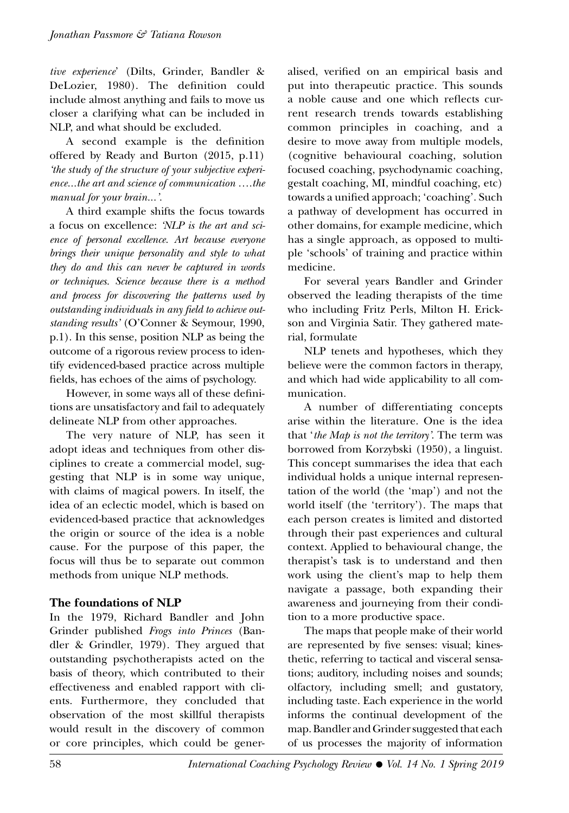*tive experience*' (Dilts, Grinder, Bandler & DeLozier, 1980). The definition could include almost anything and fails to move us closer a clarifying what can be included in NLP, and what should be excluded.

A second example is the definition offered by Ready and Burton (2015, p.11) *'the study of the structure of your subjective experience...the art and science of communication ….the manual for your brain...'.*

A third example shifts the focus towards a focus on excellence: *'NLP is the art and science of personal excellence. Art because everyone brings their unique personality and style to what they do and this can never be captured in words or techniques. Science because there is a method and process for discovering the patterns used by outstanding individuals in any field to achieve outstanding results'* (O'Conner & Seymour, 1990, p.1). In this sense, position NLP as being the outcome of a rigorous review process to identify evidenced-based practice across multiple fields, has echoes of the aims of psychology.

However, in some ways all of these definitions are unsatisfactory and fail to adequately delineate NLP from other approaches.

The very nature of NLP, has seen it adopt ideas and techniques from other disciplines to create a commercial model, suggesting that NLP is in some way unique, with claims of magical powers. In itself, the idea of an eclectic model, which is based on evidenced-based practice that acknowledges the origin or source of the idea is a noble cause. For the purpose of this paper, the focus will thus be to separate out common methods from unique NLP methods.

# **The foundations of NLP**

In the 1979, Richard Bandler and John Grinder published *Frogs into Princes* (Bandler & Grindler, 1979). They argued that outstanding psychotherapists acted on the basis of theory, which contributed to their effectiveness and enabled rapport with clients. Furthermore, they concluded that observation of the most skillful therapists would result in the discovery of common or core principles, which could be generalised, verified on an empirical basis and put into therapeutic practice. This sounds a noble cause and one which reflects current research trends towards establishing common principles in coaching, and a desire to move away from multiple models, (cognitive behavioural coaching, solution focused coaching, psychodynamic coaching, gestalt coaching, MI, mindful coaching, etc) towards a unified approach; 'coaching'. Such a pathway of development has occurred in other domains, for example medicine, which has a single approach, as opposed to multiple 'schools' of training and practice within medicine.

For several years Bandler and Grinder observed the leading therapists of the time who including Fritz Perls, Milton H. Erickson and Virginia Satir. They gathered material, formulate

NLP tenets and hypotheses, which they believe were the common factors in therapy, and which had wide applicability to all communication.

A number of differentiating concepts arise within the literature. One is the idea that '*the Map is not the territory'*. The term was borrowed from Korzybski (1950), a linguist. This concept summarises the idea that each individual holds a unique internal representation of the world (the 'map') and not the world itself (the 'territory'). The maps that each person creates is limited and distorted through their past experiences and cultural context. Applied to behavioural change, the therapist's task is to understand and then work using the client's map to help them navigate a passage, both expanding their awareness and journeying from their condition to a more productive space.

The maps that people make of their world are represented by five senses: visual; kinesthetic, referring to tactical and visceral sensations; auditory, including noises and sounds; olfactory, including smell; and gustatory, including taste. Each experience in the world informs the continual development of the map. Bandler and Grinder suggested that each of us processes the majority of information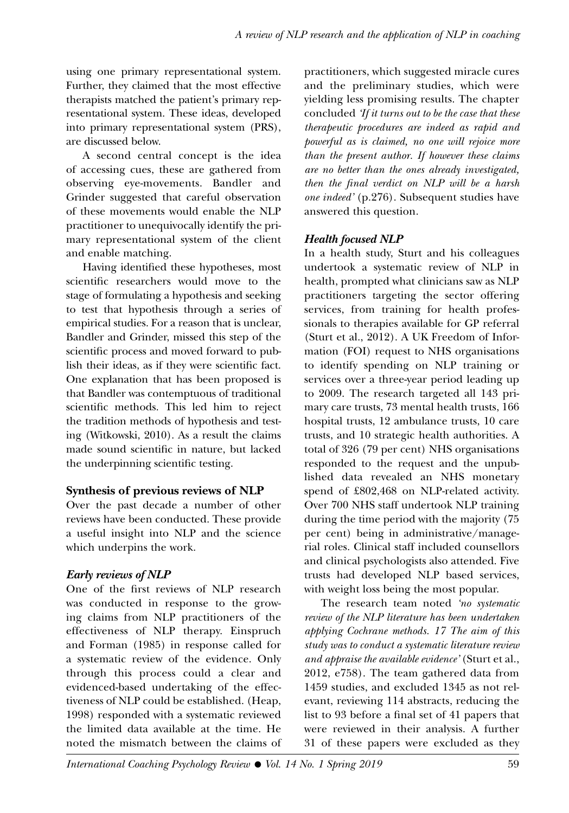using one primary representational system. Further, they claimed that the most effective therapists matched the patient's primary representational system. These ideas, developed into primary representational system (PRS), are discussed below.

A second central concept is the idea of accessing cues, these are gathered from observing eye-movements. Bandler and Grinder suggested that careful observation of these movements would enable the NLP practitioner to unequivocally identify the primary representational system of the client and enable matching.

Having identified these hypotheses, most scientific researchers would move to the stage of formulating a hypothesis and seeking to test that hypothesis through a series of empirical studies. For a reason that is unclear, Bandler and Grinder, missed this step of the scientific process and moved forward to publish their ideas, as if they were scientific fact. One explanation that has been proposed is that Bandler was contemptuous of traditional scientific methods. This led him to reject the tradition methods of hypothesis and testing (Witkowski, 2010). As a result the claims made sound scientific in nature, but lacked the underpinning scientific testing.

# **Synthesis of previous reviews of NLP**

Over the past decade a number of other reviews have been conducted. These provide a useful insight into NLP and the science which underpins the work.

# *Early reviews of NLP*

One of the first reviews of NLP research was conducted in response to the growing claims from NLP practitioners of the effectiveness of NLP therapy. Einspruch and Forman (1985) in response called for a systematic review of the evidence. Only through this process could a clear and evidenced-based undertaking of the effectiveness of NLP could be established. (Heap, 1998) responded with a systematic reviewed the limited data available at the time. He noted the mismatch between the claims of

practitioners, which suggested miracle cures and the preliminary studies, which were yielding less promising results. The chapter concluded *'If it turns out to be the case that these therapeutic procedures are indeed as rapid and powerful as is claimed, no one will rejoice more than the present author. If however these claims are no better than the ones already investigated, then the final verdict on NLP will be a harsh one indeed'* (p.276). Subsequent studies have answered this question.

# *Health focused NLP*

In a health study, Sturt and his colleagues undertook a systematic review of NLP in health, prompted what clinicians saw as NLP practitioners targeting the sector offering services, from training for health professionals to therapies available for GP referral (Sturt et al., 2012). A UK Freedom of Information (FOI) request to NHS organisations to identify spending on NLP training or services over a three-year period leading up to 2009. The research targeted all 143 primary care trusts, 73 mental health trusts, 166 hospital trusts, 12 ambulance trusts, 10 care trusts, and 10 strategic health authorities. A total of 326 (79 per cent) NHS organisations responded to the request and the unpublished data revealed an NHS monetary spend of £802,468 on NLP-related activity. Over 700 NHS staff undertook NLP training during the time period with the majority (75 per cent) being in administrative/managerial roles. Clinical staff included counsellors and clinical psychologists also attended. Five trusts had developed NLP based services, with weight loss being the most popular.

The research team noted *'no systematic review of the NLP literature has been undertaken applying Cochrane methods. 17 The aim of this study was to conduct a systematic literature review and appraise the available evidence'* (Sturt et al., 2012, e758). The team gathered data from 1459 studies, and excluded 1345 as not relevant, reviewing 114 abstracts, reducing the list to 93 before a final set of 41 papers that were reviewed in their analysis. A further 31 of these papers were excluded as they

*International Coaching Psychology Review • Vol. 14 No. 1 Spring 2019* 59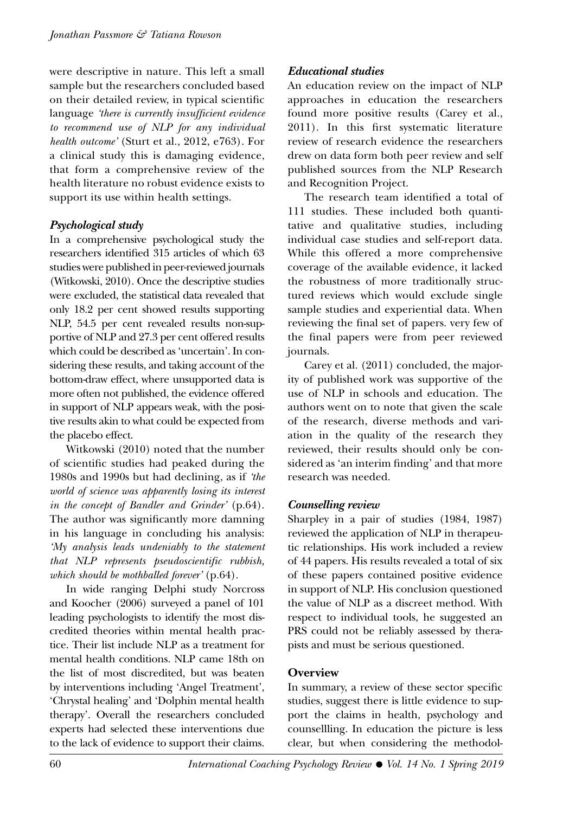were descriptive in nature. This left a small sample but the researchers concluded based on their detailed review, in typical scientific language *'there is currently insufficient evidence to recommend use of NLP for any individual health outcome'* (Sturt et al., 2012, e763). For a clinical study this is damaging evidence, that form a comprehensive review of the health literature no robust evidence exists to support its use within health settings.

# *Psychological study*

In a comprehensive psychological study the researchers identified 315 articles of which 63 studies were published in peer-reviewed journals (Witkowski, 2010). Once the descriptive studies were excluded, the statistical data revealed that only 18.2 per cent showed results supporting NLP, 54.5 per cent revealed results non-supportive of NLP and 27.3 per cent offered results which could be described as 'uncertain'. In considering these results, and taking account of the bottom-draw effect, where unsupported data is more often not published, the evidence offered in support of NLP appears weak, with the positive results akin to what could be expected from the placebo effect.

Witkowski (2010) noted that the number of scientific studies had peaked during the 1980s and 1990s but had declining, as if *'the world of science was apparently losing its interest in the concept of Bandler and Grinder'* (p.64). The author was significantly more damning in his language in concluding his analysis: *'My analysis leads undeniably to the statement that NLP represents pseudoscientific rubbish, which should be mothballed forever'* (p.64).

In wide ranging Delphi study Norcross and Koocher (2006) surveyed a panel of 101 leading psychologists to identify the most discredited theories within mental health practice. Their list include NLP as a treatment for mental health conditions. NLP came 18th on the list of most discredited, but was beaten by interventions including 'Angel Treatment', 'Chrystal healing' and 'Dolphin mental health therapy'. Overall the researchers concluded experts had selected these interventions due to the lack of evidence to support their claims.

# *Educational studies*

An education review on the impact of NLP approaches in education the researchers found more positive results (Carey et al., 2011). In this first systematic literature review of research evidence the researchers drew on data form both peer review and self published sources from the NLP Research and Recognition Project.

The research team identified a total of 111 studies. These included both quantitative and qualitative studies, including individual case studies and self-report data. While this offered a more comprehensive coverage of the available evidence, it lacked the robustness of more traditionally structured reviews which would exclude single sample studies and experiential data. When reviewing the final set of papers. very few of the final papers were from peer reviewed journals.

Carey et al. (2011) concluded, the majority of published work was supportive of the use of NLP in schools and education. The authors went on to note that given the scale of the research, diverse methods and variation in the quality of the research they reviewed, their results should only be considered as 'an interim finding' and that more research was needed.

# *Counselling review*

Sharpley in a pair of studies (1984, 1987) reviewed the application of NLP in therapeutic relationships. His work included a review of 44 papers. His results revealed a total of six of these papers contained positive evidence in support of NLP. His conclusion questioned the value of NLP as a discreet method. With respect to individual tools, he suggested an PRS could not be reliably assessed by therapists and must be serious questioned.

# **Overview**

In summary, a review of these sector specific studies, suggest there is little evidence to support the claims in health, psychology and counsellling. In education the picture is less clear, but when considering the methodol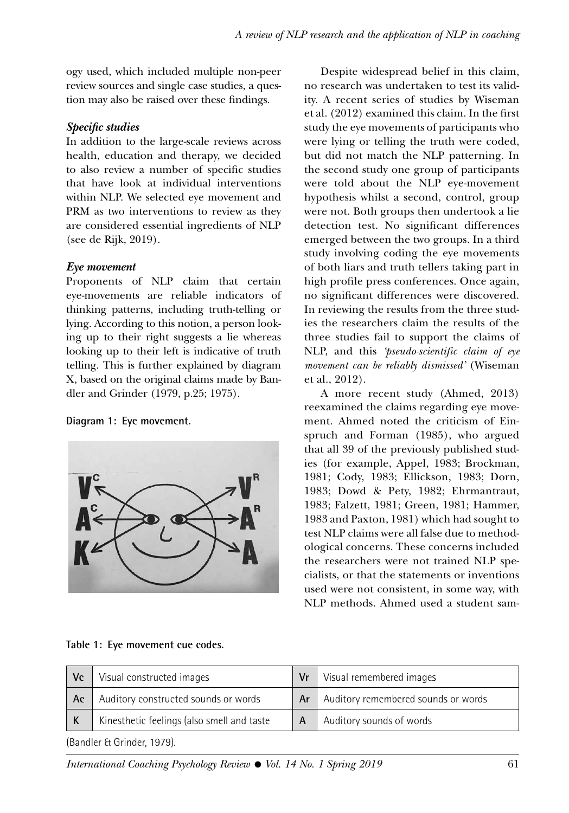ogy used, which included multiple non-peer review sources and single case studies, a question may also be raised over these findings.

# *Specific studies*

In addition to the large-scale reviews across health, education and therapy, we decided to also review a number of specific studies that have look at individual interventions within NLP. We selected eye movement and PRM as two interventions to review as they are considered essential ingredients of NLP (see de Rijk, 2019).

# *Eye movement*

Proponents of NLP claim that certain eye-movements are reliable indicators of thinking patterns, including truth-telling or lying. According to this notion, a person looking up to their right suggests a lie whereas looking up to their left is indicative of truth telling. This is further explained by diagram X, based on the original claims made by Bandler and Grinder (1979, p.25; 1975).

# **Diagram 1: Eye movement.**



Despite widespread belief in this claim, no research was undertaken to test its validity. A recent series of studies by Wiseman et al. (2012) examined this claim. In the first study the eye movements of participants who were lying or telling the truth were coded, but did not match the NLP patterning. In the second study one group of participants were told about the NLP eye-movement hypothesis whilst a second, control, group were not. Both groups then undertook a lie detection test. No significant differences emerged between the two groups. In a third study involving coding the eye movements of both liars and truth tellers taking part in high profile press conferences. Once again, no significant differences were discovered. In reviewing the results from the three studies the researchers claim the results of the three studies fail to support the claims of NLP, and this *'pseudo-scientific claim of eye movement can be reliably dismissed'* (Wiseman et al., 2012).

A more recent study (Ahmed, 2013) reexamined the claims regarding eye movement. Ahmed noted the criticism of Einspruch and Forman (1985), who argued that all 39 of the previously published studies (for example, Appel, 1983; Brockman, 1981; Cody, 1983; Ellickson, 1983; Dorn, 1983; Dowd & Pety, 1982; Ehrmantraut, 1983; Falzett, 1981; Green, 1981; Hammer, 1983 and Paxton, 1981) which had sought to test NLP claims were all false due to methodological concerns. These concerns included the researchers were not trained NLP specialists, or that the statements or inventions used were not consistent, in some way, with NLP methods. Ahmed used a student sam-

|  |  | Table 1: Eye movement cue codes. |  |  |
|--|--|----------------------------------|--|--|
|--|--|----------------------------------|--|--|

| Vc                         | Visual constructed images                  | Vr | Visual remembered images            |
|----------------------------|--------------------------------------------|----|-------------------------------------|
| Ac                         | Auditory constructed sounds or words       | Ar | Auditory remembered sounds or words |
|                            | Kinesthetic feelings (also smell and taste | A  | Auditory sounds of words            |
| (Bandler & Grinder, 1979). |                                            |    |                                     |

*International Coaching Psychology Review • Vol. 14 No. 1 Spring 2019* 61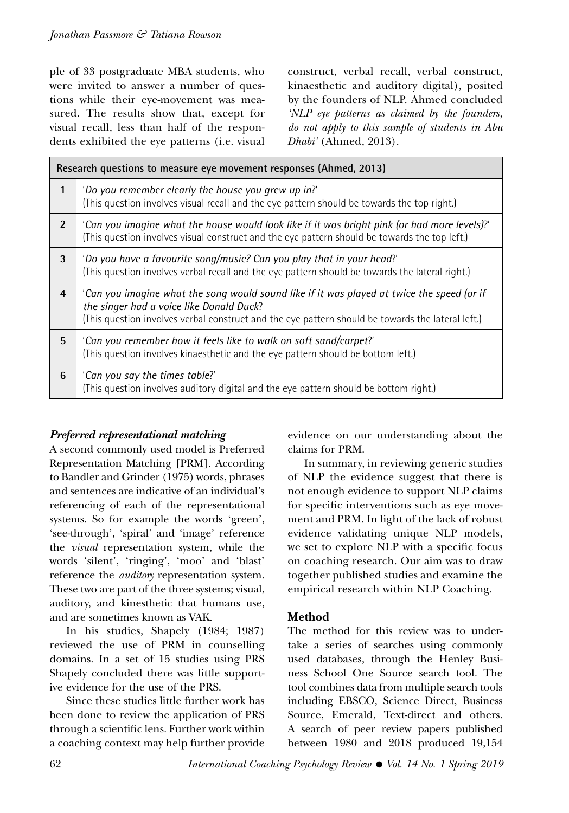ple of 33 postgraduate MBA students, who were invited to answer a number of questions while their eye-movement was measured. The results show that, except for visual recall, less than half of the respondents exhibited the eye patterns (i.e. visual construct, verbal recall, verbal construct, kinaesthetic and auditory digital), posited by the founders of NLP. Ahmed concluded *'NLP eye patterns as claimed by the founders, do not apply to this sample of students in Abu Dhabi'* (Ahmed, 2013).

| Research questions to measure eye movement responses (Ahmed, 2013) |                                                                                                                                                                                                                                             |  |
|--------------------------------------------------------------------|---------------------------------------------------------------------------------------------------------------------------------------------------------------------------------------------------------------------------------------------|--|
| 1                                                                  | 'Do you remember clearly the house you grew up in?'<br>(This question involves visual recall and the eye pattern should be towards the top right.)                                                                                          |  |
| $\overline{2}$                                                     | 'Can you imagine what the house would look like if it was bright pink (or had more levels)?'<br>(This question involves visual construct and the eye pattern should be towards the top left.)                                               |  |
| 3                                                                  | 'Do you have a favourite song/music? Can you play that in your head?'<br>(This question involves verbal recall and the eye pattern should be towards the lateral right.)                                                                    |  |
| 4                                                                  | 'Can you imagine what the song would sound like if it was played at twice the speed (or if<br>the singer had a voice like Donald Duck?<br>(This question involves verbal construct and the eye pattern should be towards the lateral left.) |  |
| 5                                                                  | 'Can you remember how it feels like to walk on soft sand/carpet?'<br>(This question involves kinaesthetic and the eye pattern should be bottom left.)                                                                                       |  |
| 6                                                                  | 'Can you say the times table?'<br>(This question involves auditory digital and the eye pattern should be bottom right.)                                                                                                                     |  |

# *Preferred representational matching*

A second commonly used model is Preferred Representation Matching [PRM]. According to Bandler and Grinder (1975) words, phrases and sentences are indicative of an individual's referencing of each of the representational systems. So for example the words 'green', 'see-through', 'spiral' and 'image' reference the *visual* representation system, while the words 'silent', 'ringing', 'moo' and 'blast' reference the *auditory* representation system. These two are part of the three systems; visual, auditory, and kinesthetic that humans use, and are sometimes known as VAK.

In his studies, Shapely (1984; 1987) reviewed the use of PRM in counselling domains. In a set of 15 studies using PRS Shapely concluded there was little supportive evidence for the use of the PRS.

Since these studies little further work has been done to review the application of PRS through a scientific lens. Further work within a coaching context may help further provide evidence on our understanding about the claims for PRM.

In summary, in reviewing generic studies of NLP the evidence suggest that there is not enough evidence to support NLP claims for specific interventions such as eye movement and PRM. In light of the lack of robust evidence validating unique NLP models, we set to explore NLP with a specific focus on coaching research. Our aim was to draw together published studies and examine the empirical research within NLP Coaching.

# **Method**

The method for this review was to undertake a series of searches using commonly used databases, through the Henley Business School One Source search tool. The tool combines data from multiple search tools including EBSCO, Science Direct, Business Source, Emerald, Text-direct and others. A search of peer review papers published between 1980 and 2018 produced 19,154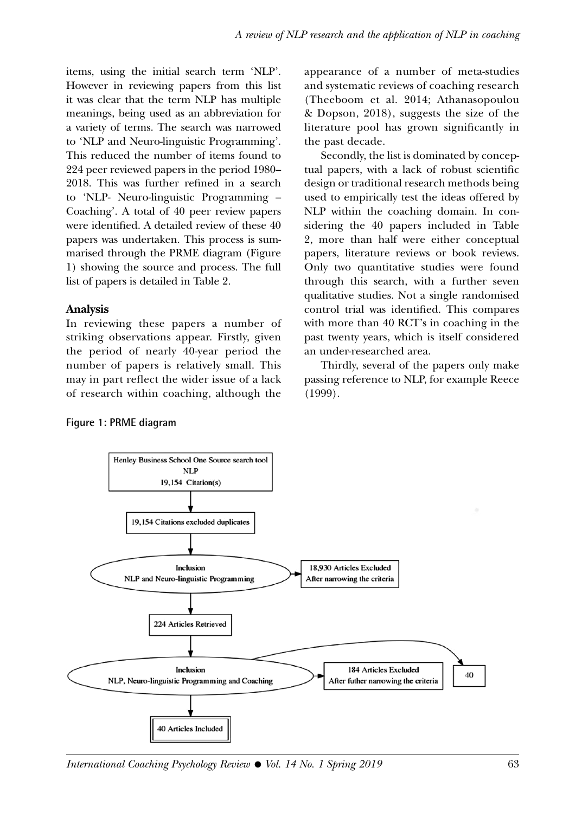items, using the initial search term 'NLP'. However in reviewing papers from this list it was clear that the term NLP has multiple meanings, being used as an abbreviation for a variety of terms. The search was narrowed to 'NLP and Neuro-linguistic Programming'. This reduced the number of items found to 224 peer reviewed papers in the period 1980– 2018. This was further refined in a search to 'NLP- Neuro-linguistic Programming – Coaching'. A total of 40 peer review papers were identified. A detailed review of these 40 papers was undertaken. This process is summarised through the PRME diagram (Figure 1) showing the source and process. The full list of papers is detailed in Table 2.

#### **Analysis**

In reviewing these papers a number of striking observations appear. Firstly, given the period of nearly 40-year period the number of papers is relatively small. This may in part reflect the wider issue of a lack of research within coaching, although the appearance of a number of meta-studies and systematic reviews of coaching research (Theeboom et al. 2014; Athanasopoulou & Dopson, 2018), suggests the size of the literature pool has grown significantly in the past decade.

Secondly, the list is dominated by conceptual papers, with a lack of robust scientific design or traditional research methods being used to empirically test the ideas offered by NLP within the coaching domain. In considering the 40 papers included in Table 2, more than half were either conceptual papers, literature reviews or book reviews. Only two quantitative studies were found through this search, with a further seven qualitative studies. Not a single randomised control trial was identified. This compares with more than 40 RCT's in coaching in the past twenty years, which is itself considered an under-researched area.

Thirdly, several of the papers only make passing reference to NLP, for example Reece (1999).

#### **Figure 1: PRME diagram**



*International Coaching Psychology Review • Vol. 14 No. 1 Spring 2019* 63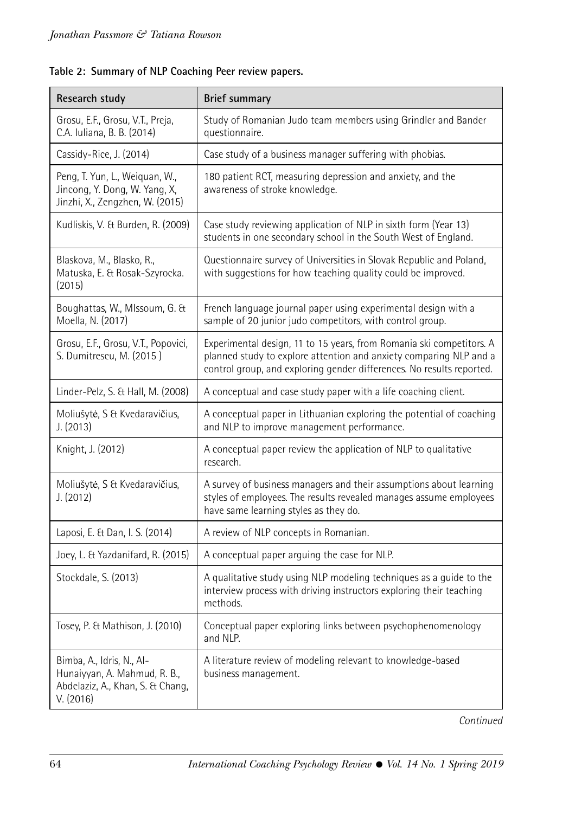| <b>Research study</b>                                                                                      | <b>Brief summary</b>                                                                                                                                                                                                |  |  |
|------------------------------------------------------------------------------------------------------------|---------------------------------------------------------------------------------------------------------------------------------------------------------------------------------------------------------------------|--|--|
| Grosu, E.F., Grosu, V.T., Preja,<br>C.A. Iuliana, B. B. (2014)                                             | Study of Romanian Judo team members using Grindler and Bander<br>questionnaire.                                                                                                                                     |  |  |
| Cassidy-Rice, J. (2014)                                                                                    | Case study of a business manager suffering with phobias.                                                                                                                                                            |  |  |
| Peng, T. Yun, L., Weiquan, W.,<br>Jincong, Y. Dong, W. Yang, X,<br>Jinzhi, X., Zengzhen, W. (2015)         | 180 patient RCT, measuring depression and anxiety, and the<br>awareness of stroke knowledge.                                                                                                                        |  |  |
| Kudliskis, V. & Burden, R. (2009)                                                                          | Case study reviewing application of NLP in sixth form (Year 13)<br>students in one secondary school in the South West of England.                                                                                   |  |  |
| Blaskova, M., Blasko, R.,<br>Matuska, E. & Rosak-Szyrocka.<br>(2015)                                       | Questionnaire survey of Universities in Slovak Republic and Poland,<br>with suggestions for how teaching quality could be improved.                                                                                 |  |  |
| Boughattas, W., MIssoum, G. &<br>Moella, N. (2017)                                                         | French language journal paper using experimental design with a<br>sample of 20 junior judo competitors, with control group.                                                                                         |  |  |
| Grosu, E.F., Grosu, V.T., Popovici,<br>S. Dumitrescu, M. (2015)                                            | Experimental design, 11 to 15 years, from Romania ski competitors. A<br>planned study to explore attention and anxiety comparing NLP and a<br>control group, and exploring gender differences. No results reported. |  |  |
| Linder-Pelz, S. & Hall, M. (2008)                                                                          | A conceptual and case study paper with a life coaching client.                                                                                                                                                      |  |  |
| Moliušytė, S & Kvedaravičius,<br>J. (2013)                                                                 | A conceptual paper in Lithuanian exploring the potential of coaching<br>and NLP to improve management performance.                                                                                                  |  |  |
| Knight, J. (2012)                                                                                          | A conceptual paper review the application of NLP to qualitative<br>research.                                                                                                                                        |  |  |
| Moliušytė, S & Kvedaravičius,<br>J. (2012)                                                                 | A survey of business managers and their assumptions about learning<br>styles of employees. The results revealed manages assume employees<br>have same learning styles as they do.                                   |  |  |
| Laposi, E. & Dan, I. S. (2014)                                                                             | A review of NLP concepts in Romanian.                                                                                                                                                                               |  |  |
| Joey, L. & Yazdanifard, R. (2015)                                                                          | A conceptual paper arguing the case for NLP.                                                                                                                                                                        |  |  |
| Stockdale, S. (2013)                                                                                       | A qualitative study using NLP modeling techniques as a guide to the<br>interview process with driving instructors exploring their teaching<br>methods.                                                              |  |  |
| Tosey, P. & Mathison, J. (2010)                                                                            | Conceptual paper exploring links between psychophenomenology<br>and NLP.                                                                                                                                            |  |  |
| Bimba, A., Idris, N., Al-<br>Hunaiyyan, A. Mahmud, R. B.,<br>Abdelaziz, A., Khan, S. & Chang,<br>V. (2016) | A literature review of modeling relevant to knowledge-based<br>business management.                                                                                                                                 |  |  |

*Continued*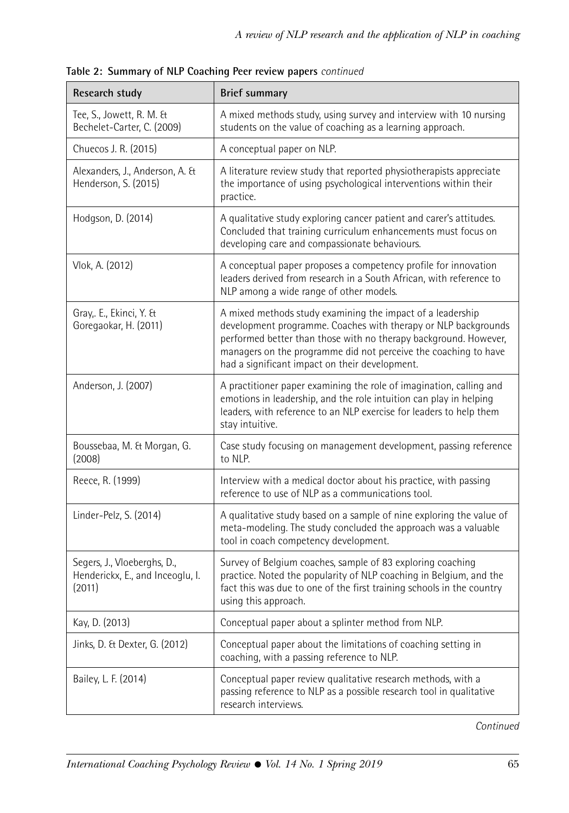| Research study                                                            | <b>Brief summary</b>                                                                                                                                                                                                                                                                                                  |
|---------------------------------------------------------------------------|-----------------------------------------------------------------------------------------------------------------------------------------------------------------------------------------------------------------------------------------------------------------------------------------------------------------------|
| Tee, S., Jowett, R. M. &<br>Bechelet-Carter, C. (2009)                    | A mixed methods study, using survey and interview with 10 nursing<br>students on the value of coaching as a learning approach.                                                                                                                                                                                        |
| Chuecos J. R. (2015)                                                      | A conceptual paper on NLP.                                                                                                                                                                                                                                                                                            |
| Alexanders, J., Anderson, A. &<br>Henderson, S. (2015)                    | A literature review study that reported physiotherapists appreciate<br>the importance of using psychological interventions within their<br>practice.                                                                                                                                                                  |
| Hodgson, D. (2014)                                                        | A qualitative study exploring cancer patient and carer's attitudes.<br>Concluded that training curriculum enhancements must focus on<br>developing care and compassionate behaviours.                                                                                                                                 |
| Vlok, A. (2012)                                                           | A conceptual paper proposes a competency profile for innovation<br>leaders derived from research in a South African, with reference to<br>NLP among a wide range of other models.                                                                                                                                     |
| Gray, E., Ekinci, Y. &<br>Goregaokar, H. (2011)                           | A mixed methods study examining the impact of a leadership<br>development programme. Coaches with therapy or NLP backgrounds<br>performed better than those with no therapy background. However,<br>managers on the programme did not perceive the coaching to have<br>had a significant impact on their development. |
| Anderson, J. (2007)                                                       | A practitioner paper examining the role of imagination, calling and<br>emotions in leadership, and the role intuition can play in helping<br>leaders, with reference to an NLP exercise for leaders to help them<br>stay intuitive.                                                                                   |
| Boussebaa, M. & Morgan, G.<br>(2008)                                      | Case study focusing on management development, passing reference<br>to NLP.                                                                                                                                                                                                                                           |
| Reece, R. (1999)                                                          | Interview with a medical doctor about his practice, with passing<br>reference to use of NLP as a communications tool.                                                                                                                                                                                                 |
| Linder-Pelz, S. (2014)                                                    | A qualitative study based on a sample of nine exploring the value of<br>meta-modeling. The study concluded the approach was a valuable<br>tool in coach competency development.                                                                                                                                       |
| Segers, J., Vloeberghs, D.,<br>Henderickx, E., and Inceoglu, I.<br>(2011) | Survey of Belgium coaches, sample of 83 exploring coaching<br>practice. Noted the popularity of NLP coaching in Belgium, and the<br>fact this was due to one of the first training schools in the country<br>using this approach.                                                                                     |
| Kay, D. (2013)                                                            | Conceptual paper about a splinter method from NLP.                                                                                                                                                                                                                                                                    |
| Jinks, D. & Dexter, G. (2012)                                             | Conceptual paper about the limitations of coaching setting in<br>coaching, with a passing reference to NLP.                                                                                                                                                                                                           |
| Bailey, L. F. (2014)                                                      | Conceptual paper review qualitative research methods, with a<br>passing reference to NLP as a possible research tool in qualitative<br>research interviews.                                                                                                                                                           |

**Table 2: Summary of NLP Coaching Peer review papers** *continued*

*Continued*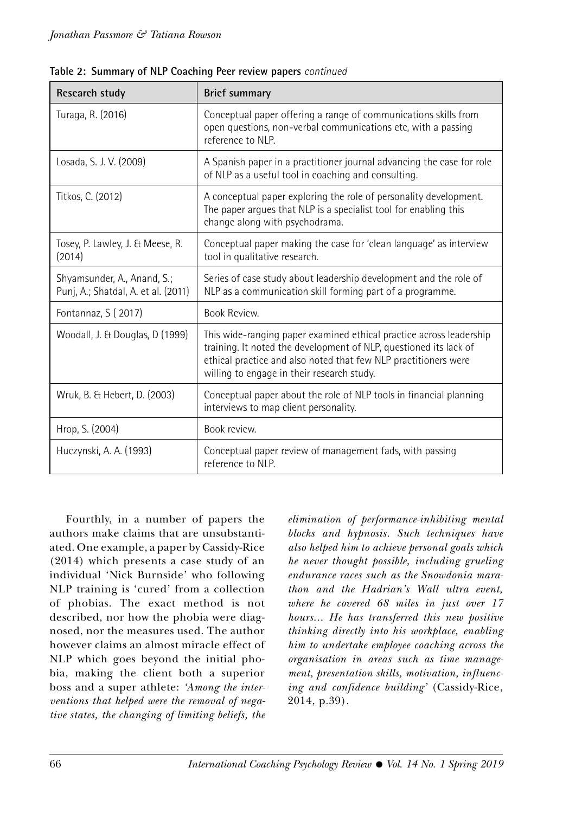| Research study                                                     | <b>Brief summary</b>                                                                                                                                                                                                                                      |  |
|--------------------------------------------------------------------|-----------------------------------------------------------------------------------------------------------------------------------------------------------------------------------------------------------------------------------------------------------|--|
| Turaga, R. (2016)                                                  | Conceptual paper offering a range of communications skills from<br>open questions, non-verbal communications etc, with a passing<br>reference to NLP.                                                                                                     |  |
| Losada, S. J. V. (2009)                                            | A Spanish paper in a practitioner journal advancing the case for role<br>of NLP as a useful tool in coaching and consulting.                                                                                                                              |  |
| Titkos, C. (2012)                                                  | A conceptual paper exploring the role of personality development.<br>The paper argues that NLP is a specialist tool for enabling this<br>change along with psychodrama.                                                                                   |  |
| Tosey, P. Lawley, J. & Meese, R.<br>(2014)                         | Conceptual paper making the case for 'clean language' as interview<br>tool in qualitative research.                                                                                                                                                       |  |
| Shyamsunder, A., Anand, S.;<br>Punj, A.; Shatdal, A. et al. (2011) | Series of case study about leadership development and the role of<br>NLP as a communication skill forming part of a programme.                                                                                                                            |  |
| Fontannaz, S (2017)                                                | <b>Book Review</b>                                                                                                                                                                                                                                        |  |
| Woodall, J. & Douglas, D (1999)                                    | This wide-ranging paper examined ethical practice across leadership<br>training. It noted the development of NLP, questioned its lack of<br>ethical practice and also noted that few NLP practitioners were<br>willing to engage in their research study. |  |
| Wruk, B. & Hebert, D. (2003)                                       | Conceptual paper about the role of NLP tools in financial planning<br>interviews to map client personality.                                                                                                                                               |  |
| Hrop, S. (2004)                                                    | Book review.                                                                                                                                                                                                                                              |  |
| Huczynski, A. A. (1993)                                            | Conceptual paper review of management fads, with passing<br>reference to NLP.                                                                                                                                                                             |  |

**Table 2: Summary of NLP Coaching Peer review papers** *continued*

Fourthly, in a number of papers the authors make claims that are unsubstantiated. One example, a paper by Cassidy-Rice (2014) which presents a case study of an individual 'Nick Burnside' who following NLP training is 'cured' from a collection of phobias. The exact method is not described, nor how the phobia were diagnosed, nor the measures used. The author however claims an almost miracle effect of NLP which goes beyond the initial phobia, making the client both a superior boss and a super athlete: *'Among the interventions that helped were the removal of negative states, the changing of limiting beliefs, the* 

*elimination of performance-inhibiting mental blocks and hypnosis. Such techniques have also helped him to achieve personal goals which he never thought possible, including grueling endurance races such as the Snowdonia marathon and the Hadrian's Wall ultra event, where he covered 68 miles in just over 17 hours... He has transferred this new positive thinking directly into his workplace, enabling him to undertake employee coaching across the organisation in areas such as time management, presentation skills, motivation, influencing and confidence building'* (Cassidy-Rice, 2014, p.39).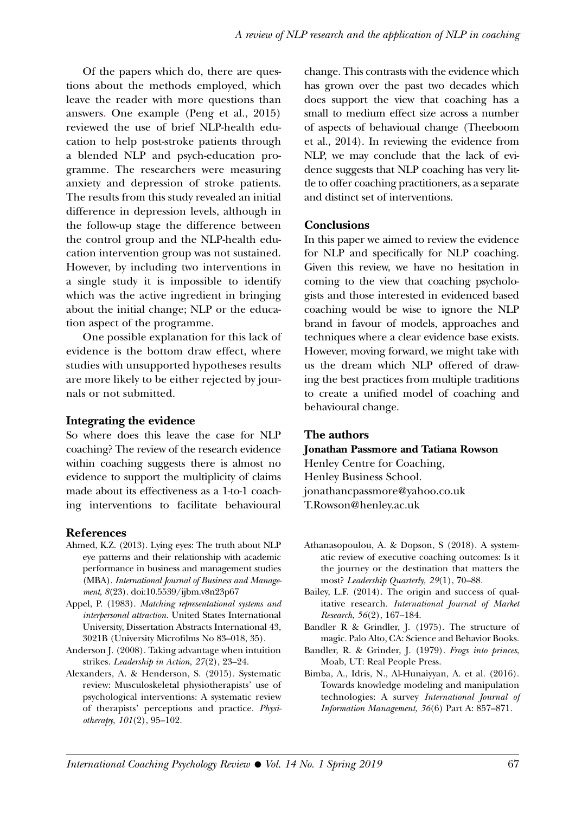Of the papers which do, there are questions about the methods employed, which leave the reader with more questions than answers. One example (Peng et al., 2015) reviewed the use of brief NLP-health education to help post-stroke patients through a blended NLP and psych-education programme. The researchers were measuring anxiety and depression of stroke patients. The results from this study revealed an initial difference in depression levels, although in the follow-up stage the difference between the control group and the NLP-health education intervention group was not sustained. However, by including two interventions in a single study it is impossible to identify which was the active ingredient in bringing about the initial change; NLP or the education aspect of the programme.

One possible explanation for this lack of evidence is the bottom draw effect, where studies with unsupported hypotheses results are more likely to be either rejected by journals or not submitted.

#### **Integrating the evidence**

So where does this leave the case for NLP coaching? The review of the research evidence within coaching suggests there is almost no evidence to support the multiplicity of claims made about its effectiveness as a 1-to-1 coaching interventions to facilitate behavioural

#### **References**

- Ahmed, K.Z. (2013). Lying eyes: The truth about NLP eye patterns and their relationship with academic performance in business and management studies (MBA). *International Journal of Business and Management*, *8*(23). doi:10.5539/ijbm.v8n23p67
- Appel, P. (1983). *Matching representational systems and interpersonal attraction.* United States International University, Dissertation Abstracts International 43, 3021B (University Microfilms No 83–018, 35).
- Anderson J. (2008). Taking advantage when intuition strikes. *Leadership in Action*, *27*(2), 23–24.
- Alexanders, A. & Henderson, S. (2015). Systematic review: Musculoskeletal physiotherapists' use of psychological interventions: A systematic review of therapists' perceptions and practice. *Physiotherapy*, *101*(2), 95–102.

change. This contrasts with the evidence which has grown over the past two decades which does support the view that coaching has a small to medium effect size across a number of aspects of behavioual change (Theeboom et al., 2014). In reviewing the evidence from NLP, we may conclude that the lack of evidence suggests that NLP coaching has very little to offer coaching practitioners, as a separate and distinct set of interventions.

#### **Conclusions**

In this paper we aimed to review the evidence for NLP and specifically for NLP coaching. Given this review, we have no hesitation in coming to the view that coaching psychologists and those interested in evidenced based coaching would be wise to ignore the NLP brand in favour of models, approaches and techniques where a clear evidence base exists. However, moving forward, we might take with us the dream which NLP offered of drawing the best practices from multiple traditions to create a unified model of coaching and behavioural change.

#### **The authors**

#### **Jonathan Passmore and Tatiana Rowson**

Henley Centre for Coaching, Henley Business School. jonathancpassmore@yahoo.co.uk T.Rowson@henley.ac.uk

- Athanasopoulou, A. & Dopson, S (2018). A systematic review of executive coaching outcomes: Is it the journey or the destination that matters the most? *Leadership Quarterly, 29*(1), 70–88.
- Bailey, L.F. (2014). The origin and success of qualitative research. *International Journal of Market Research*, *56*(2), 167–184.
- Bandler R & Grindler, J. (1975). The structure of magic. Palo Alto, CA: Science and Behavior Books.
- Bandler, R. & Grinder, J. (1979). *Frogs into princes*, Moab, UT: Real People Press.
- Bimba, A., Idris, N., Al-Hunaiyyan, A. et al. (2016). Towards knowledge modeling and manipulation technologies: A survey *International Journal of Information Management, 36*(6) Part A: 857–871.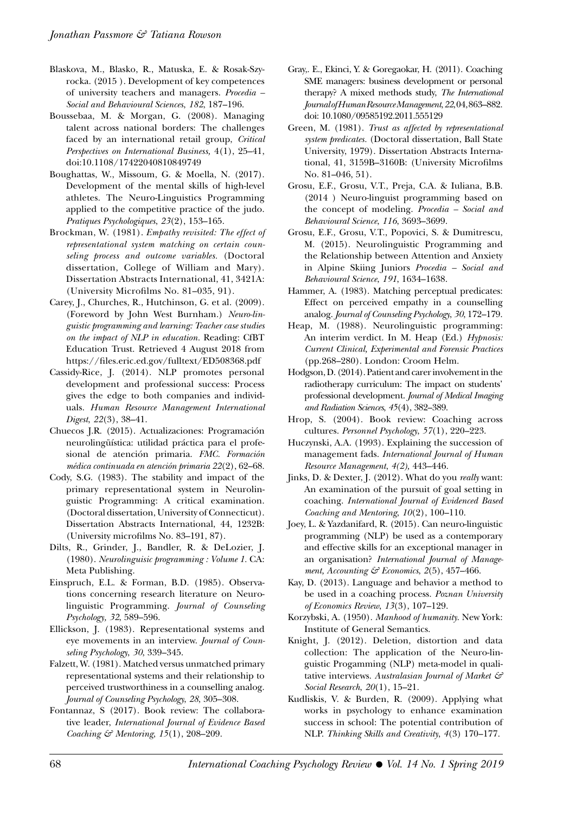- Blaskova, M., Blasko, R., Matuska, E. & Rosak-Szyrocka. (2015 ). Development of key competences of university teachers and managers. *Procedia – Social and Behavioural Sciences*, *182*, 187–196.
- Boussebaa, M. & Morgan, G. (2008). Managing talent across national borders: The challenges faced by an international retail group, *Critical Perspectives on International Business,* 4(1), 25–41, doi:10.1108/17422040810849749
- Boughattas, W., Missoum, G. & Moella, N. (2017). Development of the mental skills of high-level athletes. The Neuro-Linguistics Programming applied to the competitive practice of the judo. *Pratiques Psychologiques*, *23*(2), 153–165.
- Brockman, W. (1981). *Empathy revisited: The effect of representational system matching on certain counseling process and outcome variables.* (Doctoral dissertation, College of William and Mary). Dissertation Abstracts International, 41, 3421A: (University Microfilms No. 81–035, 91).
- Carey, J., Churches, R., Hutchinson, G. et al. (2009). (Foreword by John West Burnham.) *Neuro-linguistic programming and learning: Teacher case studies on the impact of NLP in education.* Reading: CfBT Education Trust. Retrieved 4 August 2018 from https://files.eric.ed.gov/fulltext/ED508368.pdf
- Cassidy-Rice, J. (2014). NLP promotes personal development and professional success: Process gives the edge to both companies and individuals. *Human Resource Management International Digest*, *22*(3), 38–41.
- Chuecos J.R. (2015). Actualizaciones: Programación neurolingüística: utilidad práctica para el profesional de atención primaria. *FMC. Formación médica continuada en atención primaria 22*(2), 62–68.
- Cody, S.G. (1983). The stability and impact of the primary representational system in Neurolinguistic Programming: A critical examination. (Doctoral dissertation, University of Connecticut). Dissertation Abstracts International, 44, 1232B: (University microfilms No. 83–191, 87).
- Dilts, R., Grinder, J., Bandler, R. & DeLozier, J. (1980). *Neurolinguisic programming : Volume 1.* CA: Meta Publishing.
- Einspruch, E.L. & Forman, B.D. (1985). Observations concerning research literature on Neurolinguistic Programming. *Journal of Counseling Psychology, 32*, 589–596.
- Ellickson, J. (1983). Representational systems and eye movements in an interview. *Journal of Counseling Psychology*, *30*, 339–345.
- Falzett, W. (1981). Matched versus unmatched primary representational systems and their relationship to perceived trustworthiness in a counselling analog. *Journal of Counseling Psychology*, *28*, 305–308.
- Fontannaz, S (2017). Book review: The collaborative leader, *International Journal of Evidence Based Coaching & Mentoring*, *15*(1), 208–209.
- Gray,. E., Ekinci, Y. & Goregaokar, H. (2011). Coaching SME managers: business development or personal therapy? A mixed methods study, *The International Journal of Human Resource Management*, *22*, 04, 863–882. doi: 10.1080/09585192.2011.555129
- Green, M. (1981). *Trust as affected by representational system predicates.* (Doctoral dissertation, Ball State University, 1979). Dissertation Abstracts International, 41, 3159B–3160B: (University Microfilms No. 81–046, 51).
- Grosu, E.F., Grosu, V.T., Preja, C.A. & Iuliana, B.B. (2014 ) Neuro-linguist programming based on the concept of modeling. *Procedia – Social and Behavioural Science*, *116*, 3693–3699.
- Grosu, E.F., Grosu, V.T., Popovici, S. & Dumitrescu, M. (2015). Neurolinguistic Programming and the Relationship between Attention and Anxiety in Alpine Skiing Juniors *Procedia – Social and Behavioural Science*, *191*, 1634–1638.
- Hammer, A. (1983). Matching perceptual predicates: Effect on perceived empathy in a counselling analog. *Journal of Counseling Psychology*, *30*, 172–179.
- Heap, M. (1988). Neurolinguistic programming: An interim verdict. In M. Heap (Ed.) *Hypnosis: Current Clinical, Experimental and Forensic Practices* (pp.268–280). London: Croom Helm.
- Hodgson, D. (2014). Patient and carer involvement in the radiotherapy curriculum: The impact on students' professional development. *Journal of Medical Imaging and Radiation Sciences*, *45*(4), 382–389.
- Hrop, S. (2004). Book review: Coaching across cultures. *Personnel Psychology*, *57*(1), 220–223.
- Huczynski, A.A. (1993). Explaining the succession of management fads. *International Journal of Human Resource Management*, *4(2),* 443–446.
- Jinks, D. & Dexter, J. (2012). What do you *really* want: An examination of the pursuit of goal setting in coaching. *International Journal of Evidenced Based Coaching and Mentoring*, *10*(2), 100–110.
- Joey, L. & Yazdanifard, R. (2015). Can neuro-linguistic programming (NLP) be used as a contemporary and effective skills for an exceptional manager in an organisation? *International Journal of Management, Accounting & Economics*, *2*(5), 457–466.
- Kay, D. (2013). Language and behavior a method to be used in a coaching process. *Poznan University of Economics Review*, *13*(3), 107–129.
- Korzybski, A. (1950). *Manhood of humanity*. New York: Institute of General Semantics.
- Knight, J. (2012). Deletion, distortion and data collection: The application of the Neuro-linguistic Progamming (NLP) meta-model in qualitative interviews. *Australasian Journal of Market & Social Research*, *20*(1), 15–21.
- Kudliskis, V. & Burden, R. (2009). Applying what works in psychology to enhance examination success in school: The potential contribution of NLP. *Thinking Skills and Creativity*, *4*(3) 170–177.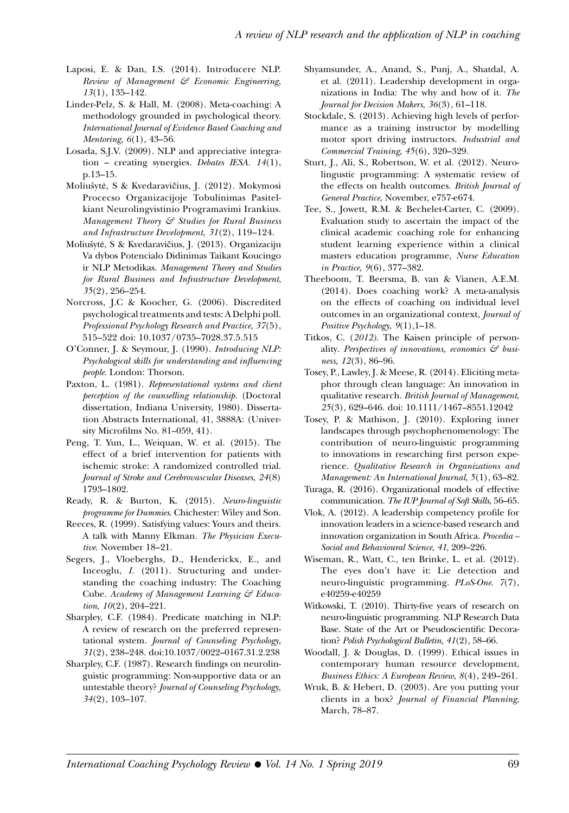- Laposi, E. & Dan, I.S. (2014). Introducere NLP. *Review of Management & Economic Engineering*, *13*(1), 135–142.
- Linder-Pelz, S. & Hall, M. (2008). Meta-coaching: A methodology grounded in psychological theory. *International Journal of Evidence Based Coaching and Mentoring*, *6*(1), 43–56.
- Losada, S.J.V. (2009). NLP and appreciative integration – creating synergies. *Debates IESA. 14*(1), p.13–15.
- Moliušytė, S & Kvedaravičius, J. (2012). Mokymosi Procecso Organizacijoje Tobulinimas Pasitelkiant Neurolingvistinio Programavimi Irankius. *Management Theory & Studies for Rural Business and Infrastructure Development*, *31*(2), 119–124.
- Moliušytė, S & Kvedaravičius, J. (2013). Organizaciju Va dybos Potencialo Didinimas Taikant Koucingo ir NLP Metodikas. *Management Theory and Studies for Rural Business and Infrastructure Development*, *35*(2), 256–254.
- Norcross, J.C & Koocher, G. (2006). Discredited psychological treatments and tests: A Delphi poll. *Professional Psychology Research and Practice*, *37*(5), 515–522 doi: 10.1037/0735–7028.37.5.515
- O'Conner, J. & Seymour, J. (1990). *Introducing NLP: Psychological skills for understanding and influencing people*. London: Thorson.
- Paxton, L. (1981). *Representational systems and client perception of the counselling relationship.* (Doctoral dissertation, Indiana University, 1980). Dissertation Abstracts International, 41, 3888A: (University Microfilms No. 81–059, 41).
- Peng, T. Yun, L., Weiquan, W. et al. (2015). The effect of a brief intervention for patients with ischemic stroke: A randomized controlled trial. *Journal of Stroke and Cerebrovascular Diseases*, *24*(8) 1793–1802.
- Ready, R. & Burton, K. (2015). *Neuro-linguistic programme for Dummies*. Chichester: Wiley and Son.
- Reeces, R. (1999). Satisfying values: Yours and theirs. A talk with Manny Elkman*. The Physician Executive*. November 18–21.
- Segers, J., Vloeberghs, D., Henderickx, E., and Inceoglu, *I.* (2011). Structuring and understanding the coaching industry: The Coaching Cube. *Academy of Management Learning & Education*, *10*(2), 204–221.
- Sharpley, C.F. (1984). Predicate matching in NLP: A review of research on the preferred representational system. *Journal of Counseling Psychology, 31*(2), 238–248. doi:10.1037/0022–0167.31.2.238
- Sharpley, C.F. (1987). Research findings on neurolinguistic programming: Non-supportive data or an untestable theory? *Journal of Counseling Psychology, 34*(2), 103–107.
- Shyamsunder, A., Anand, S., Punj, A., Shatdal, A. et al. (2011). Leadership development in organizations in India: The why and how of it. *The Journal for Decision Makers*, *36*(3), 61–118.
- Stockdale, S. (2013). Achieving high levels of performance as a training instructor by modelling motor sport driving instructors. *Industrial and Commercial Training*, *45*(6), 320–329.
- Sturt, J., Ali, S., Robertson, W. et al. (2012). Neurolingustic programming: A systematic review of the effects on health outcomes. *British Journal of General Practice*, November, e757-e674.
- Tee, S., Jowett, R.M. & Bechelet-Carter, C. (2009). Evaluation study to ascertain the impact of the clinical academic coaching role for enhancing student learning experience within a clinical masters education programme, *Nurse Education in Practice*, *9*(6), 377–382.
- Theeboom, T. Beersma, B. van & Vianen, A.E.M. (2014). Does coaching work? A meta-analysis on the effects of coaching on individual level outcomes in an organizational context, *Journal of Positive Psychology*, *9*(1),1–18.
- Titkos, C. (*2012).* The Kaisen principle of personality. *Perspectives of innovations, economics & business, 12*(3), 86–96.
- Tosey, P., Lawley, J. & Meese, R. (2014). Eliciting metaphor through clean language: An innovation in qualitative research. *British Journal of Management*, *25*(3), 629–646. doi: 10.1111/1467–8551.12042
- Tosey, P. & Mathison, J. (2010). Exploring inner landscapes through psychophenomenology: The contribution of neuro-linguistic programming to innovations in researching first person experience. *Qualitative Research in Organizations and Management: An International Journal*, *5*(1), 63–82.
- Turaga, R. (2016). Organizational models of effective communication. *The IUP Journal of Soft Skills*, 56–65.
- Vlok, A. (2012). A leadership competency profile for innovation leaders in a science-based research and innovation organization in South Africa. *Procedia – Social and Behavioural Science*, *41*, 209–226.
- Wiseman, R., Watt, C., ten Brinke, L. et al. (2012). The eyes don't have it: Lie detection and neuro-linguistic programming. *PLoS-One*. *7*(7), e40259-e40259
- Witkowski, T. (2010). Thirty-five years of research on neuro-linguistic programming. NLP Research Data Base. State of the Art or Pseudoscientific Decoration? *Polish Psychological Bulletin*, *41*(2), 58–66.
- Woodall, J. & Douglas, D. (1999). Ethical issues in contemporary human resource development, *Business Ethics: A European Review*, *8*(4), 249–261.
- Wruk, B. & Hebert, D. (2003). Are you putting your clients in a box? *Journal of Financial Planning*, March, 78–87.